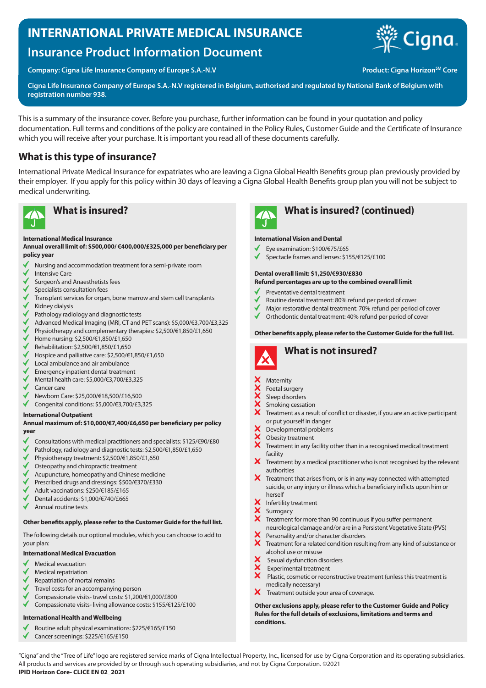# **INTERNATIONAL PRIVATE MEDICAL INSURANCE**

# **Insurance Product Information Document**

Company: Cigna Life Insurance Company of Europe S.A.-N.V **Product: Cigna Horizon<sup>SM</sup> Core** 

**Cigna** 

**Cigna Life Insurance Company of Europe S.A.-N.V registered in Belgium, authorised and regulated by National Bank of Belgium with registration number 938.**

This is a summary of the insurance cover. Before you purchase, further information can be found in your quotation and policy documentation. Full terms and conditions of the policy are contained in the Policy Rules, Customer Guide and the Certificate of Insurance which you will receive after your purchase. It is important you read all of these documents carefully.

# **What is this type of insurance?**

International Private Medical Insurance for expatriates who are leaving a Cigna Global Health Benefits group plan previously provided by their employer. If you apply for this policy within 30 days of leaving a Cigna Global Health Benefits group plan you will not be subject to medical underwriting.



### **International Medical Insurance**

### **Annual overall limit of: \$500,000/ €400,000/£325,000 per beneficiary per policy year**

- Nursing and accommodation treatment for a semi-private room
- Intensive Care
- Surgeon's and Anaesthetists fees
- Specialists consultation fees
- Transplant services for organ, bone marrow and stem cell transplants
- Kidney dialysis
- Pathology radiology and diagnostic tests
- $\checkmark$ Advanced Medical Imaging (MRI, CT and PET scans): \$5,000/€3,700/£3,325
- $\checkmark$ Physiotherapy and complementary therapies: \$2,500/€1,850/£1,650
- √ Home nursing: \$2,500/€1,850/£1,650
- Rehabilitation: \$2,500/€1,850/£1,650
- Hospice and palliative care: \$2,500/€1,850/£1,650
- Local ambulance and air ambulance
- Emergency inpatient dental treatment
- Mental health care: \$5,000/€3,700/£3,325
- Cancer care
- Newborn Care: \$25,000/€18,500/£16,500
- $\checkmark$ Congenital conditions: \$5,000/€3,700/£3,325

### **International Outpatient**

#### **Annual maximum of: \$10,000/€7,400/£6,650 per beneficiary per policy year**

- Consultations with medical practitioners and specialists: \$125/€90/£80
- Pathology, radiology and diagnostic tests: \$2,500/€1,850/£1,650
- Physiotherapy treatment: \$2,500/€1,850/£1,650
- Osteopathy and chiropractic treatment
- Acupuncture, homeopathy and Chinese medicine
- Prescribed drugs and dressings: \$500/€370/£330
- Adult vaccinations: \$250/€185/£165
- Dental accidents: \$1,000/€740/£665
- Annual routine tests

### **Other benefits apply, please refer to the Customer Guide for the full list.**

The following details our optional modules, which you can choose to add to your plan:

### **International Medical Evacuation**

- Medical evacuation
- Medical repatriation
- Repatriation of mortal remains
- Travel costs for an accompanying person
- Compassionate visits- travel costs: \$1,200/€1,000/£800
- $\checkmark$ Compassionate visits- living allowance costs: \$155/€125/£100

### **International Health and Wellbeing**

- Routine adult physical examinations: \$225/€165/£150
- Cancer screenings: \$225/€165/£150



# **What is insured? What is insured? (continued)**

### **International Vision and Dental**

- Eye examination: \$100/€75/£65
- Spectacle frames and lenses: \$155/€125/£100

### **Dental overall limit: \$1,250/€930/£830**

#### **Refund percentages are up to the combined overall limit**

- Preventative dental treatment
- Routine dental treatment: 80% refund per period of cover
- Major restorative dental treatment: 70% refund per period of cover
- $\checkmark$ Orthodontic dental treatment: 40% refund per period of cover

### **Other benefits apply, please refer to the Customer Guide for the full list.**



# **What is not insured?**

### **Maternity**

- Foetal surgery
- Sleep disorders
- **xxxxx** Smoking cessation
- Treatment as a result of conflict or disaster, if you are an active participant or put yourself in danger
- XXX Developmental problems
- Obesity treatment
- Treatment in any facility other than in a recognised medical treatment facility
- X Treatment by a medical practitioner who is not recognised by the relevant authorities
- $\boldsymbol{\times}$  Treatment that arises from, or is in any way connected with attempted suicide, or any injury or illness which a beneficiary inflicts upon him or herself
- Infertility treatment
- Surrogacy
- Treatment for more than 90 continuous if you suffer permanent neurological damage and/or are in a Persistent Vegetative State (PVS)
- Personality and/or character disorders  $\boldsymbol{\hat{x}}$
- Treatment for a related condition resulting from any kind of substance or alcohol use or misuse
- Sexual dysfunction disorders
- Experimental treatment
- $\overline{\mathbf{x}}$  Plastic, cosmetic or reconstructive treatment (unless this treatment is medically necessary)
- $\boldsymbol{X}$  Treatment outside your area of coverage.

**Other exclusions apply, please refer to the Customer Guide and Policy Rules for the full details of exclusions, limitations and terms and conditions.**

"Cigna" and the "Tree of Life" logo are registered service marks of Cigna Intellectual Property, Inc., licensed for use by Cigna Corporation and its operating subsidiaries. All products and services are provided by or through such operating subsidiaries, and not by Cigna Corporation. ©2021 **IPID Horizon Core- CLICE EN 02\_2021**